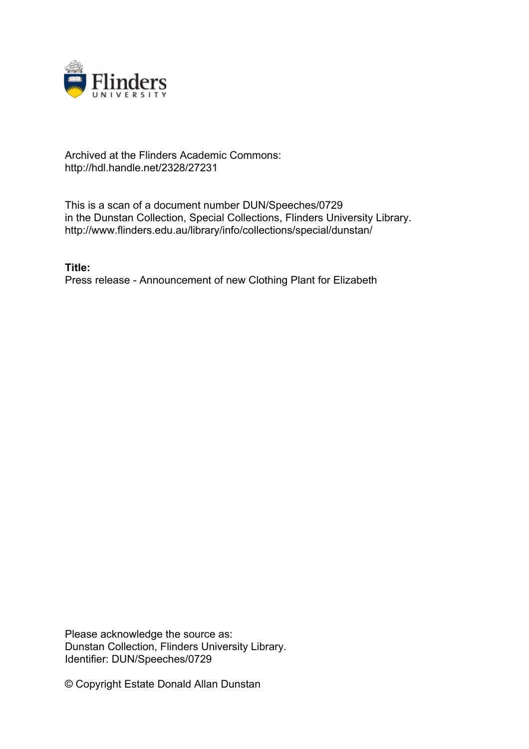

## Archived at the Flinders Academic Commons: http://hdl.handle.net/2328/27231

This is a scan of a document number DUN/Speeches/0729 in the Dunstan Collection, Special Collections, Flinders University Library. http://www.flinders.edu.au/library/info/collections/special/dunstan/

**Title:** Press release - Announcement of new Clothing Plant for Elizabeth

Please acknowledge the source as: Dunstan Collection, Flinders University Library. Identifier: DUN/Speeches/0729

© Copyright Estate Donald Allan Dunstan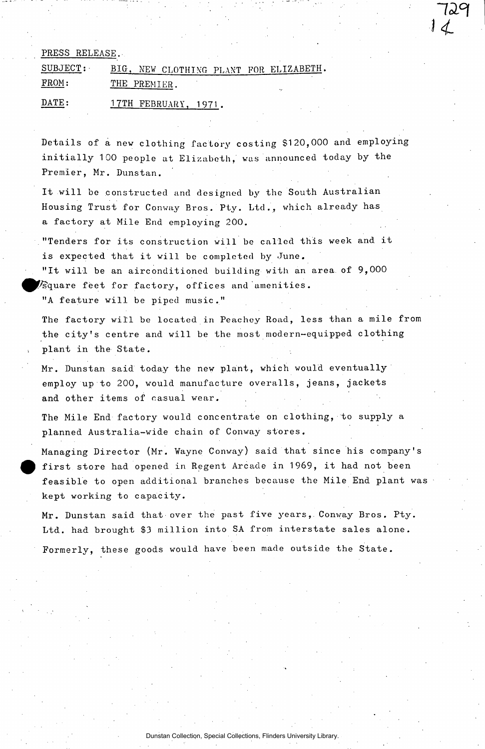## PRESS RELEASE.

| SUBJECT: | NEW CLOTHING PLANT FOR ELIZABETH.<br>BIG. |           |  |
|----------|-------------------------------------------|-----------|--|
| FROM:    | THE PREMIER.                              | $\ddotsc$ |  |
| DATE:    | 17TH FEBRUARY, 1971.                      |           |  |

Details of a new clothing factory costing \$120,000 and employing initially 100 people at Elizabeth, was announced today by the Premier, Mr. Dunstan.

*13PI* 

*u* 

It will be constructed and designed by the South Australian Housing Trust for Conway Bros. Pty. Ltd., which already has a factory at Mile End employing 200.

"Tenders for its construction will be called this week and it is expected that it will be completed by June.

"It will be an airconditioned building with an area of  $9,000$  $\%$ quare feet for factory, offices and amenities.

"A feature will be piped music."

The factory will be located in Peachey Road, less than a mile from the city's centre and will be the most modern-equipped clothing plant in the State.

Mr. Dunstan said today the new plant, which would eventually employ up to 200, would manufacture overalls, jeans, jackets and other items of casual wear.

The Mile End factory would concentrate on clothing, to supply a planned Australia-wide chain of Conway stores.

Managing Director (Mr. Wayne Conway) said that since his company's first store had opened in Regent Arcade in 1969, it had not been feasible to open additional branches because the Mile End plant was kept working to capacity.

Mr. Dunstan said that over the past five years, Conway Bros. Pty. Ltd. had brought \$3 million into SA from interstate sales alone. Formerly, these goods would have been made outside the State.